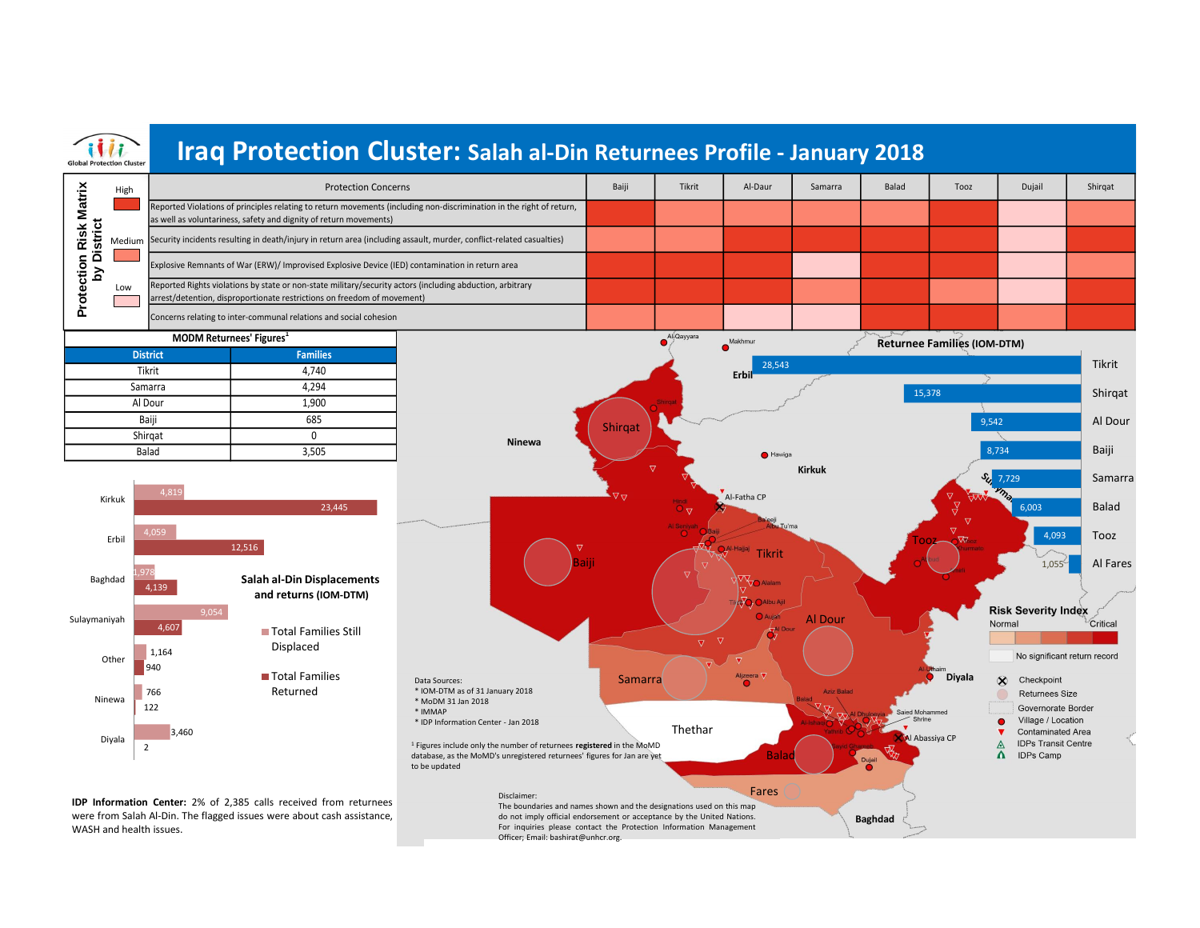

do not imply official endorsement or acceptance by the United Nations. For inquiries please contact the Protection Information Management

**Baghdad** 

Officer; Email: bashirat@unhcr.org.

**IDP Information Center:** 2% of 2,385 calls received from returnees were from Salah Al-Din. The flagged issues were about cash assistance, WASH and health issues.